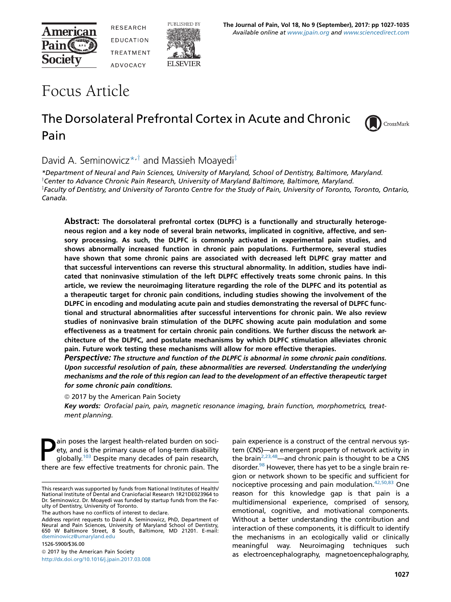

**RESEARCH** EDUCATION **TREATMENT ADVOCACY** 



# Focus Article

# The Dorsolateral Prefrontal Cortex in Acute and Chronic Pain

PUBLISHED BY

**ELSEVIER** 



## David A. Seminowicz<sup>\*,†</sup> and Massieh Moayedi<sup>‡</sup>

\*Department of Neural and Pain Sciences, University of Maryland, School of Dentistry, Baltimore, Maryland.  $^{\intercal}$ Center to Advance Chronic Pain Research, University of Maryland Baltimore, Baltimore, Maryland. z Faculty of Dentistry, and University of Toronto Centre for the Study of Pain, University of Toronto, Toronto, Ontario, Canada.

Abstract: The dorsolateral prefrontal cortex (DLPFC) is a functionally and structurally heterogeneous region and a key node of several brain networks, implicated in cognitive, affective, and sensory processing. As such, the DLPFC is commonly activated in experimental pain studies, and shows abnormally increased function in chronic pain populations. Furthermore, several studies have shown that some chronic pains are associated with decreased left DLPFC gray matter and that successful interventions can reverse this structural abnormality. In addition, studies have indicated that noninvasive stimulation of the left DLPFC effectively treats some chronic pains. In this article, we review the neuroimaging literature regarding the role of the DLPFC and its potential as a therapeutic target for chronic pain conditions, including studies showing the involvement of the DLPFC in encoding and modulating acute pain and studies demonstrating the reversal of DLPFC functional and structural abnormalities after successful interventions for chronic pain. We also review studies of noninvasive brain stimulation of the DLPFC showing acute pain modulation and some effectiveness as a treatment for certain chronic pain conditions. We further discuss the network architecture of the DLPFC, and postulate mechanisms by which DLPFC stimulation alleviates chronic pain. Future work testing these mechanisms will allow for more effective therapies.

Perspective: The structure and function of the DLPFC is abnormal in some chronic pain conditions. Upon successful resolution of pain, these abnormalities are reversed. Understanding the underlying mechanisms and the role of this region can lead to the development of an effective therapeutic target for some chronic pain conditions.

<sup>©</sup> 2017 by the American Pain Society

Key words: Orofacial pain, pain, magnetic resonance imaging, brain function, morphometrics, treatment planning.

**Pain poses the largest health-related burden on soci-**<br>ety, and is the primary cause of long-term disability<br>globally.<sup>103</sup> Despite many decades of pain research,<br>there are fow effective treatments for chronic pain. The ety, and is the primary cause of long-term disability there are few effective treatments for chronic pain. The

The authors have no conflicts of interest to declare.

Address reprint requests to David A. Seminowicz, PhD, Department of Neural and Pain Sciences, University of Maryland School of Dentistry, 650 W Baltimore Street, 8 South, Baltimore, MD 21201. E-mail: [dseminowicz@umaryland.edu](mailto:dseminowicz@umaryland.edu)

1526-5900/\$36.00  $@$  2017 by the American Pain Society <http://dx.doi.org/10.1016/j.jpain.2017.03.008>

pain experience is a construct of the central nervous system (CNS)—an emergent property of network activity in the brain<sup>[2,23,48](#page-4-0)</sup>—and chronic pain is thought to be a CNS disorder.<sup>98</sup> However, there has yet to be a single brain region or network shown to be specific and sufficient for nociceptive processing and pain modulation[.42,50,83](#page-6-0) One reason for this knowledge gap is that pain is a multidimensional experience, comprised of sensory, emotional, cognitive, and motivational components. Without a better understanding the contribution and interaction of these components, it is difficult to identify the mechanisms in an ecologically valid or clinically meaningful way. Neuroimaging techniques such as electroencephalography, magnetoencephalography,

This research was supported by funds from National Institutes of Health/ National Institute of Dental and Craniofacial Research 1R21DE023964 to Dr. Seminowicz. Dr. Moayedi was funded by startup funds from the Faculty of Dentistry, University of Toronto.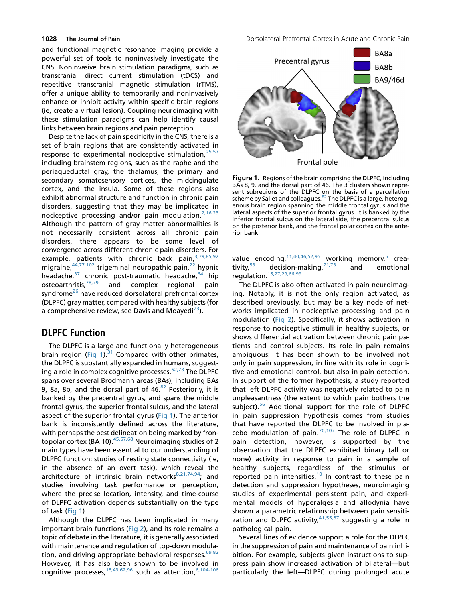and functional magnetic resonance imaging provide a powerful set of tools to noninvasively investigate the CNS. Noninvasive brain stimulation paradigms, such as transcranial direct current stimulation (tDCS) and repetitive transcranial magnetic stimulation (rTMS), offer a unique ability to temporarily and noninvasively enhance or inhibit activity within specific brain regions (ie, create a virtual lesion). Coupling neuroimaging with these stimulation paradigms can help identify causal links between brain regions and pain perception.

Despite the lack of pain specificity in the CNS, there is a set of brain regions that are consistently activated in response to experimental nociceptive stimulation,  $25,57$ including brainstem regions, such as the raphe and the periaqueductal gray, the thalamus, the primary and secondary somatosensory cortices, the midcingulate cortex, and the insula. Some of these regions also exhibit abnormal structure and function in chronic pain disorders, suggesting that they may be implicated in nociceptive processing and/or pain modulation. $2,16,23$ Although the pattern of gray matter abnormalities is not necessarily consistent across all chronic pain disorders, there appears to be some level of convergence across different chronic pain disorders. For example, patients with chronic back pain, [3,79,85,92](#page-4-0) migraine,  $44,77,102$  trigeminal neuropathic pain,  $22$  hypnic headache,<sup>[37](#page-5-0)</sup> chronic post-traumatic headache,<sup>[64](#page-6-0)</sup> hip osteoarthritis,<sup>[78,79](#page-7-0)</sup> and complex regional pain syndrome<sup>[26](#page-5-0)</sup> have reduced dorsolateral prefrontal cortex (DLPFC) gray matter, compared with healthy subjects (for a comprehensive review, see Davis and Moayedi<sup>23</sup>).

### **DLPFC Function**

The DLPFC is a large and functionally heterogeneous brain region (Fig 1).<sup>[31](#page-5-0)</sup> Compared with other primates, the DLPFC is substantially expanded in humans, suggest-ing a role in complex cognitive processes.<sup>[62,73](#page-6-0)</sup> The DLPFC spans over several Brodmann areas (BAs), including BAs 9, 8a, 8b, and the dorsal part of  $46.82$  $46.82$  Posteriorly, it is banked by the precentral gyrus, and spans the middle frontal gyrus, the superior frontal sulcus, and the lateral aspect of the superior frontal gyrus (Fig 1). The anterior bank is inconsistently defined across the literature, with perhaps the best delineation being marked by frontopolar cortex (BA 10).<sup>45,67,68</sup> Neuroimaging studies of 2 main types have been essential to our understanding of DLPFC function: studies of resting state connectivity (ie, in the absence of an overt task), which reveal the architecture of intrinsic brain networks $8,21,74,94$ ; and studies involving task performance or perception, where the precise location, intensity, and time-course of DLPFC activation depends substantially on the type of task (Fig 1).

Although the DLPFC has been implicated in many important brain functions [\(Fig 2](#page-2-0)), and its role remains a topic of debate in the literature, it is generally associated with maintenance and regulation of top-down modula-tion, and driving appropriate behavioral responses.<sup>[69,82](#page-6-0)</sup> However, it has also been shown to be involved in cognitive processes,  $18,43,62,96$  such as attention,  $6,104-106$ 

1028 The Journal of Pain **Downloam Communist Communist Communist** Dorsolateral Prefrontal Cortex in Acute and Chronic Pain



Figure 1. Regions of the brain comprising the DLPFC, including BAs 8, 9, and the dorsal part of 46. The 3 clusters shown repre-sent subregions of the DLPFC on the basis of a parcellation<br>scheme by Sallet and colleagues.<sup>[82](#page-7-0)</sup> The DLPFC is a large, heterogenous brain region spanning the middle frontal gyrus and the lateral aspects of the superior frontal gyrus. It is banked by the inferior frontal sulcus on the lateral side, the precentral sulcus on the posterior bank, and the frontal polar cortex on the anterior bank.

value encoding,  $11,40,46,52,95$  working memory, crea-<br>tivity, <sup>[5](#page-4-0)3</sup> decision-making,  $71,73$  and emotional decision-making, $71,73$  and emotional regulation.[15,27,29,66,99](#page-5-0)

The DLPFC is also often activated in pain neuroimaging. Notably, it is not the only region activated, as described previously, but may be a key node of networks implicated in nociceptive processing and pain modulation [\(Fig 2\)](#page-2-0). Specifically, it shows activation in response to nociceptive stimuli in healthy subjects, or shows differential activation between chronic pain patients and control subjects. Its role in pain remains ambiguous: it has been shown to be involved not only in pain suppression, in line with its role in cognitive and emotional control, but also in pain detection. In support of the former hypothesis, a study reported that left DLPFC activity was negatively related to pain unpleasantness (the extent to which pain bothers the subject).<sup>[56](#page-6-0)</sup> Additional support for the role of DLPFC in pain suppression hypothesis comes from studies that have reported the DLPFC to be involved in pla-cebo modulation of pain.<sup>[70,107](#page-6-0)</sup> The role of DLPFC in pain detection, however, is supported by the observation that the DLPFC exhibited binary (all or none) activity in response to pain in a sample of healthy subjects, regardless of the stimulus or reported pain intensities.<sup>[10](#page-5-0)</sup> In contrast to these pain detection and suppression hypotheses, neuroimaging studies of experimental persistent pain, and experimental models of hyperalgesia and allodynia have shown a parametric relationship between pain sensitization and DLPFC activity,  $41,55,87$  suggesting a role in pathological pain.

Several lines of evidence support a role for the DLPFC in the suppression of pain and maintenance of pain inhibition. For example, subjects given instructions to suppress pain show increased activation of bilateral—but particularly the left—DLPFC during prolonged acute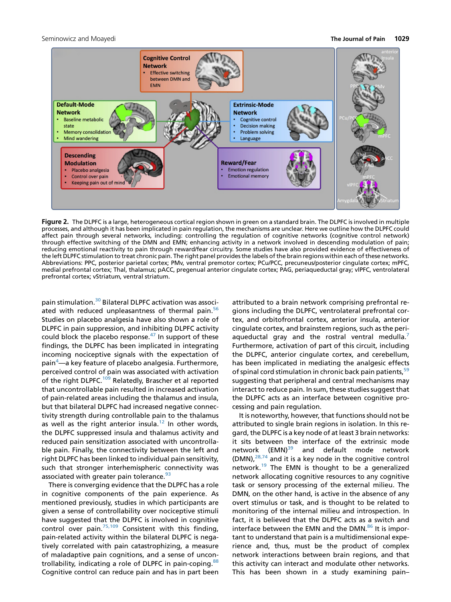<span id="page-2-0"></span>

Figure 2. The DLPFC is a large, heterogeneous cortical region shown in green on a standard brain. The DLPFC is involved in multiple processes, and although it has been implicated in pain regulation, the mechanisms are unclear. Here we outline how the DLPFC could affect pain through several networks, including: controlling the regulation of cognitive networks (cognitive control network) through effective switching of the DMN and EMN; enhancing activity in a network involved in descending modulation of pain; reducing emotional reactivity to pain through reward/fear circuitry. Some studies have also provided evidence of effectiveness of the left DLPFC stimulation to treat chronic pain. The right panel provides the labels of the brain regions within each of these networks. Abbreviations: PPC, posterior parietal cortex; PMv, ventral premotor cortex; PCu/PCC, precuneus/posterior cingulate cortex; mPFC, medial prefrontal cortex; Thal, thalamus; pACC, pregenual anterior cingulate cortex; PAG, periaqueductal gray; vlPFC, ventrolateral prefrontal cortex; vStriatum, ventral striatum.

pain stimulation.<sup>[30](#page-5-0)</sup> Bilateral DLPFC activation was associ-ated with reduced unpleasantness of thermal pain.<sup>[56](#page-6-0)</sup> Studies on placebo analgesia have also shown a role of DLPFC in pain suppression, and inhibiting DLPFC activity could block the placebo response.<sup>[47](#page-6-0)</sup> In support of these findings, the DLPFC has been implicated in integrating incoming nociceptive signals with the expectation of pain<sup>[4](#page-4-0)</sup>—a key feature of placebo analgesia. Furthermore, perceived control of pain was associated with activation of the right DLPFC.<sup>[109](#page-8-0)</sup> Relatedly, Brascher et al reported that uncontrollable pain resulted in increased activation of pain-related areas including the thalamus and insula, but that bilateral DLPFC had increased negative connectivity strength during controllable pain to the thalamus as well as the right anterior insula.<sup>[12](#page-5-0)</sup> In other words, the DLPFC suppressed insula and thalamus activity and reduced pain sensitization associated with uncontrollable pain. Finally, the connectivity between the left and right DLPFC has been linked to individual pain sensitivity, such that stronger interhemispheric connectivity was associated with greater pain tolerance.<sup>[93](#page-7-0)</sup>

There is converging evidence that the DLPFC has a role in cognitive components of the pain experience. As mentioned previously, studies in which participants are given a sense of controllability over nociceptive stimuli have suggested that the DLPFC is involved in cognitive control over pain. $75,109$  Consistent with this finding, pain-related activity within the bilateral DLPFC is negatively correlated with pain catastrophizing, a measure of maladaptive pain cognitions, and a sense of uncon-trollability, indicating a role of DLPFC in pain-coping.<sup>[88](#page-7-0)</sup> Cognitive control can reduce pain and has in part been

attributed to a brain network comprising prefrontal regions including the DLPFC, ventrolateral prefrontal cortex, and orbitofrontal cortex, anterior insula, anterior cingulate cortex, and brainstem regions, such as the periaqueductal gray and the rostral ventral medulla. $<sup>7</sup>$ </sup> Furthermore, activation of part of this circuit, including the DLPFC, anterior cingulate cortex, and cerebellum, has been implicated in mediating the analgesic effects of spinal cord stimulation in chronic back pain patients,<sup>[59](#page-6-0)</sup> suggesting that peripheral and central mechanisms may interact to reduce pain. In sum, these studies suggest that the DLPFC acts as an interface between cognitive processing and pain regulation.

It is noteworthy, however, that functions should not be attributed to single brain regions in isolation. In this regard, the DLPFC is a key node of at least 3 brain networks: it sits between the interface of the extrinsic mode network  $(EMN)^{39}$  $(EMN)^{39}$  $(EMN)^{39}$  and default mode network  $(DMN)<sub>1</sub><sup>28,74</sup>$  $(DMN)<sub>1</sub><sup>28,74</sup>$  $(DMN)<sub>1</sub><sup>28,74</sup>$  and it is a key node in the cognitive control network.[19](#page-5-0) The EMN is thought to be a generalized network allocating cognitive resources to any cognitive task or sensory processing of the external milieu. The DMN, on the other hand, is active in the absence of any overt stimulus or task, and is thought to be related to monitoring of the internal milieu and introspection. In fact, it is believed that the DLPFC acts as a switch and interface between the EMN and the DMN. $86$  It is important to understand that pain is a multidimensional experience and, thus, must be the product of complex network interactions between brain regions, and that this activity can interact and modulate other networks. This has been shown in a study examining pain–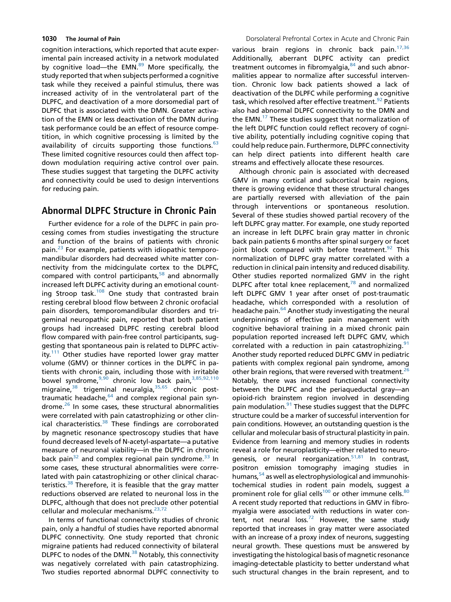cognition interactions, which reported that acute experimental pain increased activity in a network modulated by cognitive load—the EMN.<sup>89</sup> More specifically, the study reported that when subjects performed a cognitive task while they received a painful stimulus, there was increased activity of in the ventrolateral part of the DLPFC, and deactivation of a more dorsomedial part of DLPFC that is associated with the DMN. Greater activation of the EMN or less deactivation of the DMN during task performance could be an effect of resource competition, in which cognitive processing is limited by the availability of circuits supporting those functions. $63$ These limited cognitive resources could then affect topdown modulation requiring active control over pain. These studies suggest that targeting the DLPFC activity and connectivity could be used to design interventions for reducing pain.

Further evidence for a role of the DLPFC in pain processing comes from studies investigating the structure and function of the brains of patients with chronic pain.<sup>[23](#page-5-0)</sup> For example, patients with idiopathic temporomandibular disorders had decreased white matter connectivity from the midcingulate cortex to the DLPFC, compared with control participants,<sup>[58](#page-6-0)</sup> and abnormally increased left DLPFC activity during an emotional counting Stroop task. $108$  One study that contrasted brain resting cerebral blood flow between 2 chronic orofacial pain disorders, temporomandibular disorders and trigeminal neuropathic pain, reported that both patient groups had increased DLPFC resting cerebral blood flow compared with pain-free control participants, suggesting that spontaneous pain is related to DLPFC activ-ity.<sup>[111](#page-8-0)</sup> Other studies have reported lower gray matter volume (GMV) or thinner cortices in the DLPFC in patients with chronic pain, including those with irritable bowel syndrome,<sup>[9,90](#page-4-0)</sup> chronic low back pain,<sup>[3,85,92,110](#page-4-0)</sup> migraine,<sup>[38](#page-5-0)</sup> trigeminal neuralgia,<sup>[35,65](#page-5-0)</sup> chronic post-traumatic headache, <sup>[64](#page-6-0)</sup> and complex regional pain syn-drome.<sup>[26](#page-5-0)</sup> In some cases, these structural abnormalities were correlated with pain catastrophizing or other clinical characteristics. $38$  These findings are corroborated by magnetic resonance spectroscopy studies that have found decreased levels of N-acetyl-aspartate—a putative measure of neuronal viability—in the DLPFC in chronic back pain<sup>[32](#page-5-0)</sup> and complex regional pain syndrome.<sup>[33](#page-5-0)</sup> In some cases, these structural abnormalities were correlated with pain catastrophizing or other clinical charac-teristics.<sup>[38](#page-5-0)</sup> Therefore, it is feasible that the gray matter reductions observed are related to neuronal loss in the DLPFC, although that does not preclude other potential cellular and molecular mechanisms.<sup>[23,72](#page-5-0)</sup>

In terms of functional connectivity studies of chronic pain, only a handful of studies have reported abnormal DLPFC connectivity. One study reported that chronic migraine patients had reduced connectivity of bilateral DLPFC to nodes of the DMN.<sup>[38](#page-5-0)</sup> Notably, this connectivity was negatively correlated with pain catastrophizing. Two studies reported abnormal DLPFC connectivity to

various brain regions in chronic back pain.<sup>[17,36](#page-5-0)</sup> Additionally, aberrant DLPFC activity can predict treatment outcomes in fibromyalgia, $84$  and such abnormalities appear to normalize after successful intervention. Chronic low back patients showed a lack of deactivation of the DLPFC while performing a cognitive task, which resolved after effective treatment.<sup>[92](#page-7-0)</sup> Patients also had abnormal DLPFC connectivity to the DMN and the EMN. $^{17}$  These studies suggest that normalization of the left DLPFC function could reflect recovery of cognitive ability, potentially including cognitive coping that could help reduce pain. Furthermore, DLPFC connectivity can help direct patients into different health care streams and effectively allocate these resources.

Although chronic pain is associated with decreased GMV in many cortical and subcortical brain regions, there is growing evidence that these structural changes are partially reversed with alleviation of the pain through interventions or spontaneous resolution. Several of these studies showed partial recovery of the left DLPFC gray matter. For example, one study reported an increase in left DLPFC brain gray matter in chronic back pain patients 6 months after spinal surgery or facet joint block compared with before treatment. $92$  This normalization of DLPFC gray matter correlated with a reduction in clinical pain intensity and reduced disability. Other studies reported normalized GMV in the right DLPFC after total knee replacement,<sup>[78](#page-7-0)</sup> and normalized left DLPFC GMV 1 year after onset of post-traumatic headache, which corresponded with a resolution of headache pain.<sup>64</sup> Another study investigating the neural underpinnings of effective pain management with cognitive behavioral training in a mixed chronic pain population reported increased left DLPFC GMV, which correlated with a reduction in pain catastrophizing.<sup>9</sup> Another study reported reduced DLPFC GMV in pediatric patients with complex regional pain syndrome, among other brain regions, that were reversed with treatment.<sup>[26](#page-5-0)</sup> Notably, there was increased functional connectivity between the DLPFC and the periaqueductal gray—an opioid-rich brainstem region involved in descending pain modulation.<sup>91</sup> These studies suggest that the DLPFC structure could be a marker of successful intervention for pain conditions. However, an outstanding question is the cellular and molecular basis of structural plasticity in pain. Evidence from learning and memory studies in rodents reveal a role for neuroplasticity—either related to neurogenesis, or neural reorganization.<sup>51,81</sup> In contrast, positron emission tomography imaging studies in humans,<sup>[54](#page-6-0)</sup> as well as electrophysiological and immunohistochemical studies in rodent pain models, suggest a prominent role for glial cells<sup>100</sup> or other immune cells.<sup>[80](#page-7-0)</sup> A recent study reported that reductions in GMV in fibromyalgia were associated with reductions in water content, not neural loss.<sup>72</sup> However, the same study reported that increases in gray matter were associated with an increase of a proxy index of neurons, suggesting neural growth. These questions must be answered by investigating the histological basis of magnetic resonance imaging-detectable plasticity to better understand what such structural changes in the brain represent, and to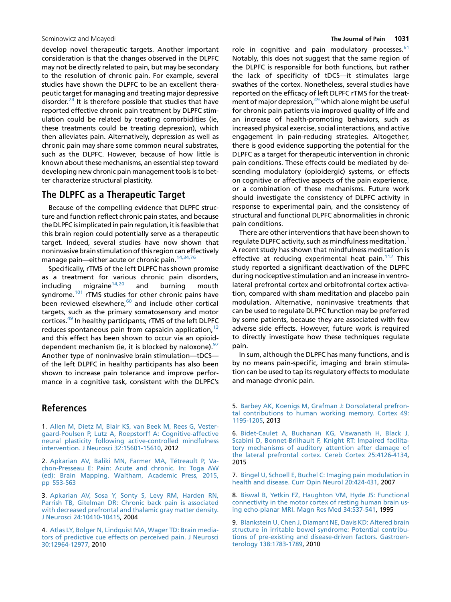<span id="page-4-0"></span>develop novel therapeutic targets. Another important consideration is that the changes observed in the DLPFC may not be directly related to pain, but may be secondary to the resolution of chronic pain. For example, several studies have shown the DLPFC to be an excellent therapeutic target for managing and treating major depressive disorder.<sup>24</sup> It is therefore possible that studies that have reported effective chronic pain treatment by DLPFC stimulation could be related by treating comorbidities (ie, these treatments could be treating depression), which then alleviates pain. Alternatively, depression as well as chronic pain may share some common neural substrates, such as the DLPFC. However, because of how little is known about these mechanisms, an essential step toward developing new chronic pain management tools is to better characterize structural plasticity.

The DLPFC as a Therapeutic Target DLPFC structure Target Because of the compelling evidence that DLPFC structure and function reflect chronic pain states, and because the DLPFC is implicated in pain regulation, it is feasible that this brain region could potentially serve as a therapeutic target. Indeed, several studies have now shown that noninvasive brain stimulation of this region can effectively manage pain—either acute or chronic pain.<sup>14,34,76</sup>

Specifically, rTMS of the left DLPFC has shown promise as a treatment for various chronic pain disorders, including migraine $14,20$  and burning mouth syndrome.<sup>[101](#page-7-0)</sup> rTMS studies for other chronic pains have been reviewed elsewhere, $60$  and include other cortical targets, such as the primary somatosensory and motor cortices.<sup>[49](#page-6-0)</sup> In healthy participants, rTMS of the left DLPFC reduces spontaneous pain from capsaicin application,  $13$ and this effect has been shown to occur via an opioiddependent mechanism (ie, it is blocked by naloxone). $97$ Another type of noninvasive brain stimulation—tDCS of the left DLPFC in healthy participants has also been shown to increase pain tolerance and improve performance in a cognitive task, consistent with the DLPFC's

## **References**

1. [Allen M, Dietz M, Blair KS, van Beek M, Rees G, Vester](http://refhub.elsevier.com/S1526-5900(17)30531-X/sref1)[gaard-Poulsen P, Lutz A, Roepstorff A: Cognitive-affective](http://refhub.elsevier.com/S1526-5900(17)30531-X/sref1) [neural plasticity following active-controlled mindfulness](http://refhub.elsevier.com/S1526-5900(17)30531-X/sref1) [intervention. J Neurosci 32:15601-15610,](http://refhub.elsevier.com/S1526-5900(17)30531-X/sref1) 2012

2. [Apkarian AV, Baliki MN, Farmer MA, Tetreault P, Va](http://refhub.elsevier.com/S1526-5900(17)30531-X/sref2) [chon-Presseau E: Pain: Acute and chronic. In: Toga AW](http://refhub.elsevier.com/S1526-5900(17)30531-X/sref2) [\(ed\): Brain Mapping. Waltham, Academic Press, 2015,](http://refhub.elsevier.com/S1526-5900(17)30531-X/sref2) [pp 553-563](http://refhub.elsevier.com/S1526-5900(17)30531-X/sref2)

3. [Apkarian AV, Sosa Y, Sonty S, Levy RM, Harden RN,](http://refhub.elsevier.com/S1526-5900(17)30531-X/sref3) [Parrish TB, Gitelman DR: Chronic back pain is associated](http://refhub.elsevier.com/S1526-5900(17)30531-X/sref3) [with decreased prefrontal and thalamic gray matter density.](http://refhub.elsevier.com/S1526-5900(17)30531-X/sref3) [J Neurosci 24:10410-10415](http://refhub.elsevier.com/S1526-5900(17)30531-X/sref3), 2004

4. [Atlas LY, Bolger N, Lindquist MA, Wager TD: Brain media](http://refhub.elsevier.com/S1526-5900(17)30531-X/sref4)[tors of predictive cue effects on perceived pain. J Neurosci](http://refhub.elsevier.com/S1526-5900(17)30531-X/sref4) [30:12964-12977](http://refhub.elsevier.com/S1526-5900(17)30531-X/sref4), 2010

role in cognitive and pain modulatory processes. $61$ Notably, this does not suggest that the same region of the DLPFC is responsible for both functions, but rather the lack of specificity of tDCS—it stimulates large swathes of the cortex. Nonetheless, several studies have reported on the efficacy of left DLPFC rTMS for the treatment of major depression, $49$  which alone might be useful for chronic pain patients via improved quality of life and an increase of health-promoting behaviors, such as increased physical exercise, social interactions, and active engagement in pain-reducing strategies. Altogether, there is good evidence supporting the potential for the DLPFC as a target for therapeutic intervention in chronic pain conditions. These effects could be mediated by descending modulatory (opioidergic) systems, or effects on cognitive or affective aspects of the pain experience, or a combination of these mechanisms. Future work should investigate the consistency of DLPFC activity in response to experimental pain, and the consistency of structural and functional DLPFC abnormalities in chronic pain conditions.

There are other interventions that have been shown to regulate DLPFC activity, such as mindfulness meditation.<sup>1</sup> A recent study has shown that mindfulness meditation is effective at reducing experimental heat pain.<sup>[112](#page-8-0)</sup> This study reported a significant deactivation of the DLPFC during nociceptive stimulation and an increase in ventrolateral prefrontal cortex and orbitofrontal cortex activation, compared with sham meditation and placebo pain modulation. Alternative, noninvasive treatments that can be used to regulate DLPFC function may be preferred by some patients, because they are associated with few adverse side effects. However, future work is required to directly investigate how these techniques regulate pain.

In sum, although the DLPFC has many functions, and is by no means pain-specific, imaging and brain stimulation can be used to tap its regulatory effects to modulate and manage chronic pain.

5. [Barbey AK, Koenigs M, Grafman J: Dorsolateral prefron](http://refhub.elsevier.com/S1526-5900(17)30531-X/sref5)[tal contributions to human working memory. Cortex 49:](http://refhub.elsevier.com/S1526-5900(17)30531-X/sref5) [1195-1205](http://refhub.elsevier.com/S1526-5900(17)30531-X/sref5), 2013

6. [Bidet-Caulet A, Buchanan KG, Viswanath H, Black J,](http://refhub.elsevier.com/S1526-5900(17)30531-X/sref6) [Scabini D, Bonnet-Brilhault F, Knight RT: Impaired facilita](http://refhub.elsevier.com/S1526-5900(17)30531-X/sref6)[tory mechanisms of auditory attention after damage of](http://refhub.elsevier.com/S1526-5900(17)30531-X/sref6) [the lateral prefrontal cortex. Cereb Cortex 25:4126-4134,](http://refhub.elsevier.com/S1526-5900(17)30531-X/sref6) 2015

7. [Bingel U, Schoell E, Buchel C: Imaging pain modulation in](http://refhub.elsevier.com/S1526-5900(17)30531-X/sref7) [health and disease. Curr Opin Neurol 20:424-431,](http://refhub.elsevier.com/S1526-5900(17)30531-X/sref7) 2007

8. [Biswal B, Yetkin FZ, Haughton VM, Hyde JS: Functional](http://refhub.elsevier.com/S1526-5900(17)30531-X/sref8) [connectivity in the motor cortex of resting human brain us](http://refhub.elsevier.com/S1526-5900(17)30531-X/sref8)[ing echo-planar MRI. Magn Res Med 34:537-541,](http://refhub.elsevier.com/S1526-5900(17)30531-X/sref8) 1995

9. [Blankstein U, Chen J, Diamant NE, Davis KD: Altered brain](http://refhub.elsevier.com/S1526-5900(17)30531-X/sref9) [structure in irritable bowel syndrome: Potential contribu](http://refhub.elsevier.com/S1526-5900(17)30531-X/sref9)[tions of pre-existing and disease-driven factors. Gastroen](http://refhub.elsevier.com/S1526-5900(17)30531-X/sref9)[terology 138:1783-1789](http://refhub.elsevier.com/S1526-5900(17)30531-X/sref9), 2010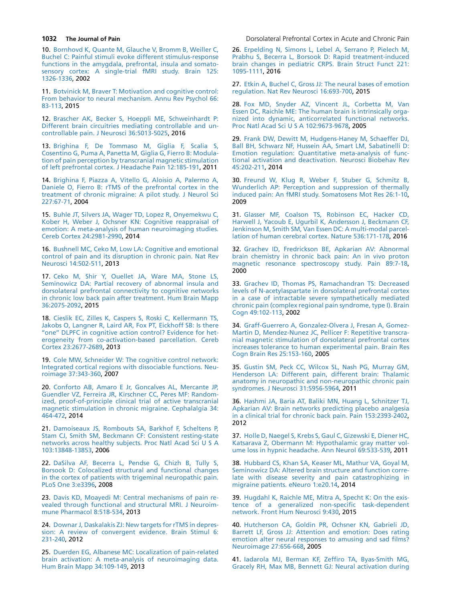10. [Bornhovd K, Quante M, Glauche V, Bromm B, Weiller C,](http://refhub.elsevier.com/S1526-5900(17)30531-X/sref10) [Buchel C: Painful stimuli evoke different stimulus-response](http://refhub.elsevier.com/S1526-5900(17)30531-X/sref10) [functions in the amygdala, prefrontal, insula and somato](http://refhub.elsevier.com/S1526-5900(17)30531-X/sref10)[sensory cortex: A single-trial fMRI study. Brain 125:](http://refhub.elsevier.com/S1526-5900(17)30531-X/sref10) [1326-1336](http://refhub.elsevier.com/S1526-5900(17)30531-X/sref10), 2002

11. [Botvinick M, Braver T: Motivation and cognitive control:](http://refhub.elsevier.com/S1526-5900(17)30531-X/sref11) [From behavior to neural mechanism. Annu Rev Psychol 66:](http://refhub.elsevier.com/S1526-5900(17)30531-X/sref11) [83-113](http://refhub.elsevier.com/S1526-5900(17)30531-X/sref11), 2015

12. [Brascher AK, Becker S, Hoeppli ME, Schweinhardt P:](http://refhub.elsevier.com/S1526-5900(17)30531-X/sref12) [Different brain circuitries mediating controllable and un](http://refhub.elsevier.com/S1526-5900(17)30531-X/sref12)[controllable pain. J Neurosci 36:5013-5025,](http://refhub.elsevier.com/S1526-5900(17)30531-X/sref12) 2016

13. [Brighina F, De Tommaso M, Giglia F, Scalia S,](http://refhub.elsevier.com/S1526-5900(17)30531-X/sref13) [Cosentino G, Puma A, Panetta M, Giglia G, Fierro B: Modula](http://refhub.elsevier.com/S1526-5900(17)30531-X/sref13)[tion of pain perception by transcranial magnetic stimulation](http://refhub.elsevier.com/S1526-5900(17)30531-X/sref13) [of left prefrontal cortex. J Headache Pain 12:185-191,](http://refhub.elsevier.com/S1526-5900(17)30531-X/sref13) 2011

14. [Brighina F, Piazza A, Vitello G, Aloisio A, Palermo A,](http://refhub.elsevier.com/S1526-5900(17)30531-X/sref14) [Daniele O, Fierro B: rTMS of the prefrontal cortex in the](http://refhub.elsevier.com/S1526-5900(17)30531-X/sref14) [treatment of chronic migraine: A pilot study. J Neurol Sci](http://refhub.elsevier.com/S1526-5900(17)30531-X/sref14) [227:67-71,](http://refhub.elsevier.com/S1526-5900(17)30531-X/sref14) 2004

15. [Buhle JT, Silvers JA, Wager TD, Lopez R, Onyemekwu C,](http://refhub.elsevier.com/S1526-5900(17)30531-X/sref15) [Kober H, Weber J, Ochsner KN: Cognitive reappraisal of](http://refhub.elsevier.com/S1526-5900(17)30531-X/sref15) [emotion: A meta-analysis of human neuroimaging studies.](http://refhub.elsevier.com/S1526-5900(17)30531-X/sref15) [Cereb Cortex 24:2981-2990](http://refhub.elsevier.com/S1526-5900(17)30531-X/sref15), 2014

16. [Bushnell MC, Ceko M, Low LA: Cognitive and emotional](http://refhub.elsevier.com/S1526-5900(17)30531-X/sref16) [control of pain and its disruption in chronic pain. Nat Rev](http://refhub.elsevier.com/S1526-5900(17)30531-X/sref16) [Neurosci 14:502-511,](http://refhub.elsevier.com/S1526-5900(17)30531-X/sref16) 2013

17. [Ceko M, Shir Y, Ouellet JA, Ware MA, Stone LS,](http://refhub.elsevier.com/S1526-5900(17)30531-X/sref17) [Seminowicz DA: Partial recovery of abnormal insula and](http://refhub.elsevier.com/S1526-5900(17)30531-X/sref17) [dorsolateral prefrontal connectivity to cognitive networks](http://refhub.elsevier.com/S1526-5900(17)30531-X/sref17) [in chronic low back pain after treatment. Hum Brain Mapp](http://refhub.elsevier.com/S1526-5900(17)30531-X/sref17) [36:2075-2092,](http://refhub.elsevier.com/S1526-5900(17)30531-X/sref17) 2015

18. [Cieslik EC, Zilles K, Caspers S, Roski C, Kellermann TS,](http://refhub.elsevier.com/S1526-5900(17)30531-X/sref18) [Jakobs O, Langner R, Laird AR, Fox PT, Eickhoff SB: Is there](http://refhub.elsevier.com/S1526-5900(17)30531-X/sref18) "one" DLPFC in cognitive action control? Evidence for het[erogeneity from co-activation-based parcellation. Cereb](http://refhub.elsevier.com/S1526-5900(17)30531-X/sref18) [Cortex 23:2677-2689](http://refhub.elsevier.com/S1526-5900(17)30531-X/sref18), 2013

19. [Cole MW, Schneider W: The cognitive control network:](http://refhub.elsevier.com/S1526-5900(17)30531-X/sref19) [Integrated cortical regions with dissociable functions. Neu](http://refhub.elsevier.com/S1526-5900(17)30531-X/sref19)[roimage 37:343-360,](http://refhub.elsevier.com/S1526-5900(17)30531-X/sref19) 2007

20. [Conforto AB, Amaro E Jr, Goncalves AL, Mercante JP,](http://refhub.elsevier.com/S1526-5900(17)30531-X/sref20) [Guendler VZ, Ferreira JR, Kirschner CC, Peres MF: Random](http://refhub.elsevier.com/S1526-5900(17)30531-X/sref20)[ized, proof-of-principle clinical trial of active transcranial](http://refhub.elsevier.com/S1526-5900(17)30531-X/sref20) [magnetic stimulation in chronic migraine. Cephalalgia 34:](http://refhub.elsevier.com/S1526-5900(17)30531-X/sref20) [464-472,](http://refhub.elsevier.com/S1526-5900(17)30531-X/sref20) 2014

21. [Damoiseaux JS, Rombouts SA, Barkhof F, Scheltens P,](http://refhub.elsevier.com/S1526-5900(17)30531-X/sref21) [Stam CJ, Smith SM, Beckmann CF: Consistent resting-state](http://refhub.elsevier.com/S1526-5900(17)30531-X/sref21) [networks across healthy subjects. Proc Natl Acad Sci U S A](http://refhub.elsevier.com/S1526-5900(17)30531-X/sref21) [103:13848-13853,](http://refhub.elsevier.com/S1526-5900(17)30531-X/sref21) 2006

22. [DaSilva AF, Becerra L, Pendse G, Chizh B, Tully S,](http://refhub.elsevier.com/S1526-5900(17)30531-X/sref22) [Borsook D: Colocalized structural and functional changes](http://refhub.elsevier.com/S1526-5900(17)30531-X/sref22) [in the cortex of patients with trigeminal neuropathic pain.](http://refhub.elsevier.com/S1526-5900(17)30531-X/sref22) [PLoS One 3:e3396,](http://refhub.elsevier.com/S1526-5900(17)30531-X/sref22) 2008

23. [Davis KD, Moayedi M: Central mechanisms of pain re](http://refhub.elsevier.com/S1526-5900(17)30531-X/sref23)[vealed through functional and structural MRI. J Neuroim](http://refhub.elsevier.com/S1526-5900(17)30531-X/sref23)[mune Pharmacol 8:518-534,](http://refhub.elsevier.com/S1526-5900(17)30531-X/sref23) 2013

24. [Downar J, Daskalakis ZJ: New targets for rTMS in depres](http://refhub.elsevier.com/S1526-5900(17)30531-X/sref24)[sion: A review of convergent evidence. Brain Stimul 6:](http://refhub.elsevier.com/S1526-5900(17)30531-X/sref24) [231-240,](http://refhub.elsevier.com/S1526-5900(17)30531-X/sref24) 2012

25. [Duerden EG, Albanese MC: Localization of pain-related](http://refhub.elsevier.com/S1526-5900(17)30531-X/sref25) [brain activation: A meta-analysis of neuroimaging data.](http://refhub.elsevier.com/S1526-5900(17)30531-X/sref25) [Hum Brain Mapp 34:109-149](http://refhub.elsevier.com/S1526-5900(17)30531-X/sref25), 2013

<span id="page-5-0"></span>**1032 The Journal of Pain Downloam** Dorsolateral Prefrontal Cortex in Acute and Chronic Pain

26. [Erpelding N, Simons L, Lebel A, Serrano P, Pielech M,](http://refhub.elsevier.com/S1526-5900(17)30531-X/sref26) [Prabhu S, Becerra L, Borsook D: Rapid treatment-induced](http://refhub.elsevier.com/S1526-5900(17)30531-X/sref26) [brain changes in pediatric CRPS. Brain Struct Funct 221:](http://refhub.elsevier.com/S1526-5900(17)30531-X/sref26) [1095-1111](http://refhub.elsevier.com/S1526-5900(17)30531-X/sref26), 2016

27. [Etkin A, Buchel C, Gross JJ: The neural bases of emotion](http://refhub.elsevier.com/S1526-5900(17)30531-X/sref27) [regulation. Nat Rev Neurosci 16:693-700,](http://refhub.elsevier.com/S1526-5900(17)30531-X/sref27) 2015

28. [Fox MD, Snyder AZ, Vincent JL, Corbetta M, Van](http://refhub.elsevier.com/S1526-5900(17)30531-X/sref28) [Essen DC, Raichle ME: The human brain is intrinsically orga](http://refhub.elsevier.com/S1526-5900(17)30531-X/sref28)[nized into dynamic, anticorrelated functional networks.](http://refhub.elsevier.com/S1526-5900(17)30531-X/sref28) [Proc Natl Acad Sci U S A 102:9673-9678](http://refhub.elsevier.com/S1526-5900(17)30531-X/sref28), 2005

29. [Frank DW, Dewitt M, Hudgens-Haney M, Schaeffer DJ,](http://refhub.elsevier.com/S1526-5900(17)30531-X/sref29) [Ball BH, Schwarz NF, Hussein AA, Smart LM, Sabatinelli D:](http://refhub.elsevier.com/S1526-5900(17)30531-X/sref29) [Emotion regulation: Quantitative meta-analysis of func](http://refhub.elsevier.com/S1526-5900(17)30531-X/sref29)[tional activation and deactivation. Neurosci Biobehav Rev](http://refhub.elsevier.com/S1526-5900(17)30531-X/sref29) [45:202-211,](http://refhub.elsevier.com/S1526-5900(17)30531-X/sref29) 2014

30. [Freund W, Klug R, Weber F, Stuber G, Schmitz B,](http://refhub.elsevier.com/S1526-5900(17)30531-X/sref30) [Wunderlich AP: Perception and suppression of thermally](http://refhub.elsevier.com/S1526-5900(17)30531-X/sref30) [induced pain: An fMRI study. Somatosens Mot Res 26:1-10,](http://refhub.elsevier.com/S1526-5900(17)30531-X/sref30) 2009

31. [Glasser MF, Coalson TS, Robinson EC, Hacker CD,](http://refhub.elsevier.com/S1526-5900(17)30531-X/sref31) [Harwell J, Yacoub E, Ugurbil K, Andersson J, Beckmann CF,](http://refhub.elsevier.com/S1526-5900(17)30531-X/sref31) [Jenkinson M, Smith SM, Van Essen DC: A multi-modal parcel](http://refhub.elsevier.com/S1526-5900(17)30531-X/sref31)[lation of human cerebral cortex. Nature 536:171-178,](http://refhub.elsevier.com/S1526-5900(17)30531-X/sref31) 2016

32. [Grachev ID, Fredrickson BE, Apkarian AV: Abnormal](http://refhub.elsevier.com/S1526-5900(17)30531-X/sref32) [brain chemistry in chronic back pain: An in vivo proton](http://refhub.elsevier.com/S1526-5900(17)30531-X/sref32) [magnetic resonance spectroscopy study. Pain 89:7-18,](http://refhub.elsevier.com/S1526-5900(17)30531-X/sref32) 2000

33. [Grachev ID, Thomas PS, Ramachandran TS: Decreased](http://refhub.elsevier.com/S1526-5900(17)30531-X/sref33) [levels of N-acetylaspartate in dorsolateral prefrontal cortex](http://refhub.elsevier.com/S1526-5900(17)30531-X/sref33) [in a case of intractable severe sympathetically mediated](http://refhub.elsevier.com/S1526-5900(17)30531-X/sref33) [chronic pain \(complex regional pain syndrome, type I\). Brain](http://refhub.elsevier.com/S1526-5900(17)30531-X/sref33) [Cogn 49:102-113,](http://refhub.elsevier.com/S1526-5900(17)30531-X/sref33) 2002

34. [Graff-Guerrero A, Gonzalez-Olvera J, Fresan A, Gomez-](http://refhub.elsevier.com/S1526-5900(17)30531-X/sref34)[Martin D, Mendez-Nunez JC, Pellicer F: Repetitive transcra](http://refhub.elsevier.com/S1526-5900(17)30531-X/sref34)[nial magnetic stimulation of dorsolateral prefrontal cortex](http://refhub.elsevier.com/S1526-5900(17)30531-X/sref34) [increases tolerance to human experimental pain. Brain Res](http://refhub.elsevier.com/S1526-5900(17)30531-X/sref34) [Cogn Brain Res 25:153-160](http://refhub.elsevier.com/S1526-5900(17)30531-X/sref34), 2005

35. [Gustin SM, Peck CC, Wilcox SL, Nash PG, Murray GM,](http://refhub.elsevier.com/S1526-5900(17)30531-X/sref35) [Henderson LA: Different pain, different brain: Thalamic](http://refhub.elsevier.com/S1526-5900(17)30531-X/sref35) [anatomy in neuropathic and non-neuropathic chronic pain](http://refhub.elsevier.com/S1526-5900(17)30531-X/sref35) [syndromes. J Neurosci 31:5956-5964](http://refhub.elsevier.com/S1526-5900(17)30531-X/sref35), 2011

36. [Hashmi JA, Baria AT, Baliki MN, Huang L, Schnitzer TJ,](http://refhub.elsevier.com/S1526-5900(17)30531-X/sref36) [Apkarian AV: Brain networks predicting placebo analgesia](http://refhub.elsevier.com/S1526-5900(17)30531-X/sref36) [in a clinical trial for chronic back pain. Pain 153:2393-2402,](http://refhub.elsevier.com/S1526-5900(17)30531-X/sref36) 2012

37. [Holle D, Naegel S, Krebs S, Gaul C, Gizewski E, Diener HC,](http://refhub.elsevier.com/S1526-5900(17)30531-X/sref37) [Katsarava Z, Obermann M: Hypothalamic gray matter vol](http://refhub.elsevier.com/S1526-5900(17)30531-X/sref37)[ume loss in hypnic headache. Ann Neurol 69:533-539](http://refhub.elsevier.com/S1526-5900(17)30531-X/sref37), 2011

38. [Hubbard CS, Khan SA, Keaser ML, Mathur VA, Goyal M,](http://refhub.elsevier.com/S1526-5900(17)30531-X/sref38) [Seminowicz DA: Altered brain structure and function corre](http://refhub.elsevier.com/S1526-5900(17)30531-X/sref38)[late with disease severity and pain catastrophizing in](http://refhub.elsevier.com/S1526-5900(17)30531-X/sref38) [migraine patients. eNeuro 1:e20.14,](http://refhub.elsevier.com/S1526-5900(17)30531-X/sref38) 2014

39. [Hugdahl K, Raichle ME, Mitra A, Specht K: On the exis](http://refhub.elsevier.com/S1526-5900(17)30531-X/sref39)[tence of a generalized non-specific task-dependent](http://refhub.elsevier.com/S1526-5900(17)30531-X/sref39) [network. Front Hum Neurosci 9:430](http://refhub.elsevier.com/S1526-5900(17)30531-X/sref39), 2015

40. [Hutcherson CA, Goldin PR, Ochsner KN, Gabrieli JD,](http://refhub.elsevier.com/S1526-5900(17)30531-X/sref40) [Barrett LF, Gross JJ: Attention and emotion: Does rating](http://refhub.elsevier.com/S1526-5900(17)30531-X/sref40) [emotion alter neural responses to amusing and sad films?](http://refhub.elsevier.com/S1526-5900(17)30531-X/sref40) [Neuroimage 27:656-668,](http://refhub.elsevier.com/S1526-5900(17)30531-X/sref40) 2005

41. [Iadarola MJ, Berman KF, Zeffiro TA, Byas-Smith MG,](http://refhub.elsevier.com/S1526-5900(17)30531-X/sref41) [Gracely RH, Max MB, Bennett GJ: Neural activation during](http://refhub.elsevier.com/S1526-5900(17)30531-X/sref41)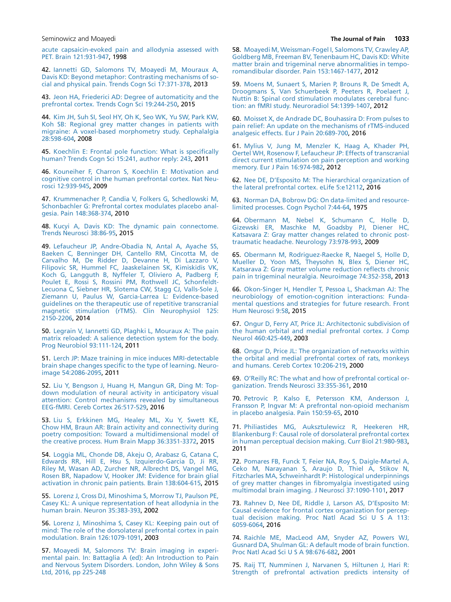<span id="page-6-0"></span>

[acute capsaicin-evoked pain and allodynia assessed with](http://refhub.elsevier.com/S1526-5900(17)30531-X/sref41) [PET. Brain 121:931-947](http://refhub.elsevier.com/S1526-5900(17)30531-X/sref41), 1998

42. [Iannetti GD, Salomons TV, Moayedi M, Mouraux A,](http://refhub.elsevier.com/S1526-5900(17)30531-X/sref42) [Davis KD: Beyond metaphor: Contrasting mechanisms of so](http://refhub.elsevier.com/S1526-5900(17)30531-X/sref42)[cial and physical pain. Trends Cogn Sci 17:371-378](http://refhub.elsevier.com/S1526-5900(17)30531-X/sref42), 2013

43. [Jeon HA, Friederici AD: Degree of automaticity and the](http://refhub.elsevier.com/S1526-5900(17)30531-X/sref43) [prefrontal cortex. Trends Cogn Sci 19:244-250,](http://refhub.elsevier.com/S1526-5900(17)30531-X/sref43) 2015

44. [Kim JH, Suh SI, Seol HY, Oh K, Seo WK, Yu SW, Park KW,](http://refhub.elsevier.com/S1526-5900(17)30531-X/sref44) [Koh SB: Regional grey matter changes in patients with](http://refhub.elsevier.com/S1526-5900(17)30531-X/sref44) [migraine: A voxel-based morphometry study. Cephalalgia](http://refhub.elsevier.com/S1526-5900(17)30531-X/sref44) [28:598-604,](http://refhub.elsevier.com/S1526-5900(17)30531-X/sref44) 2008

45. [Koechlin E: Frontal pole function: What is specifically](http://refhub.elsevier.com/S1526-5900(17)30531-X/sref45) [human? Trends Cogn Sci 15:241, author reply: 243,](http://refhub.elsevier.com/S1526-5900(17)30531-X/sref45) 2011

46. [Kouneiher F, Charron S, Koechlin E: Motivation and](http://refhub.elsevier.com/S1526-5900(17)30531-X/sref46) [cognitive control in the human prefrontal cortex. Nat Neu](http://refhub.elsevier.com/S1526-5900(17)30531-X/sref46)[rosci 12:939-945,](http://refhub.elsevier.com/S1526-5900(17)30531-X/sref46) 2009

47. [Krummenacher P, Candia V, Folkers G, Schedlowski M,](http://refhub.elsevier.com/S1526-5900(17)30531-X/sref47) [Schonbachler G: Prefrontal cortex modulates placebo anal](http://refhub.elsevier.com/S1526-5900(17)30531-X/sref47)[gesia. Pain 148:368-374](http://refhub.elsevier.com/S1526-5900(17)30531-X/sref47), 2010

48. [Kucyi A, Davis KD: The dynamic pain connectome.](http://refhub.elsevier.com/S1526-5900(17)30531-X/sref48) [Trends Neurosci 38:86-95](http://refhub.elsevier.com/S1526-5900(17)30531-X/sref48), 2015

49. [Lefaucheur JP, Andre-Obadia N, Antal A, Ayache SS,](http://refhub.elsevier.com/S1526-5900(17)30531-X/sref49) [Baeken C, Benninger DH, Cantello RM, Cincotta M, de](http://refhub.elsevier.com/S1526-5900(17)30531-X/sref49) [Carvalho M, De Ridder D, Devanne H, Di Lazzaro V,](http://refhub.elsevier.com/S1526-5900(17)30531-X/sref49) [Filipovic SR, Hummel FC, Jaaskelainen SK, Kimiskidis VK,](http://refhub.elsevier.com/S1526-5900(17)30531-X/sref49) [Koch G, Langguth B, Nyffeler T, Oliviero A, Padberg F,](http://refhub.elsevier.com/S1526-5900(17)30531-X/sref49) [Poulet E, Rossi S, Rossini PM, Rothwell JC, Schonfeldt-](http://refhub.elsevier.com/S1526-5900(17)30531-X/sref49)[Lecuona C, Siebner HR, Slotema CW, Stagg CJ, Valls-Sole J,](http://refhub.elsevier.com/S1526-5900(17)30531-X/sref49) [Ziemann U, Paulus W, Garcia-Larrea L: Evidence-based](http://refhub.elsevier.com/S1526-5900(17)30531-X/sref49) [guidelines on the therapeutic use of repetitive transcranial](http://refhub.elsevier.com/S1526-5900(17)30531-X/sref49) [magnetic stimulation \(rTMS\). Clin Neurophysiol 125:](http://refhub.elsevier.com/S1526-5900(17)30531-X/sref49) [2150-2206](http://refhub.elsevier.com/S1526-5900(17)30531-X/sref49), 2014

50. [Legrain V, Iannetti GD, Plaghki L, Mouraux A: The pain](http://refhub.elsevier.com/S1526-5900(17)30531-X/sref50) [matrix reloaded: A salience detection system for the body.](http://refhub.elsevier.com/S1526-5900(17)30531-X/sref50) [Prog Neurobiol 93:111-124](http://refhub.elsevier.com/S1526-5900(17)30531-X/sref50), 2011

51. [Lerch JP: Maze training in mice induces MRI-detectable](http://refhub.elsevier.com/S1526-5900(17)30531-X/sref51) [brain shape changes specific to the type of learning. Neuro](http://refhub.elsevier.com/S1526-5900(17)30531-X/sref51)[image 54:2086-2095,](http://refhub.elsevier.com/S1526-5900(17)30531-X/sref51) 2011

52. [Liu Y, Bengson J, Huang H, Mangun GR, Ding M: Top](http://refhub.elsevier.com/S1526-5900(17)30531-X/sref52)[down modulation of neural activity in anticipatory visual](http://refhub.elsevier.com/S1526-5900(17)30531-X/sref52) [attention: Control mechanisms revealed by simultaneous](http://refhub.elsevier.com/S1526-5900(17)30531-X/sref52) [EEG-fMRI. Cereb Cortex 26:517-529](http://refhub.elsevier.com/S1526-5900(17)30531-X/sref52), 2016

53. [Liu S, Erkkinen MG, Healey ML, Xu Y, Swett KE,](http://refhub.elsevier.com/S1526-5900(17)30531-X/sref53) [Chow HM, Braun AR: Brain activity and connectivity during](http://refhub.elsevier.com/S1526-5900(17)30531-X/sref53) [poetry composition: Toward a multidimensional model of](http://refhub.elsevier.com/S1526-5900(17)30531-X/sref53) [the creative process. Hum Brain Mapp 36:3351-3372,](http://refhub.elsevier.com/S1526-5900(17)30531-X/sref53) 2015

54. [Loggia ML, Chonde DB, Akeju O, Arabasz G, Catana C,](http://refhub.elsevier.com/S1526-5900(17)30531-X/sref54) [Edwards RR, Hill E, Hsu S, Izquierdo-Garcia D, Ji RR,](http://refhub.elsevier.com/S1526-5900(17)30531-X/sref54) [Riley M, Wasan AD, Zurcher NR, Albrecht DS, Vangel MG,](http://refhub.elsevier.com/S1526-5900(17)30531-X/sref54) [Rosen BR, Napadow V, Hooker JM: Evidence for brain glial](http://refhub.elsevier.com/S1526-5900(17)30531-X/sref54) [activation in chronic pain patients. Brain 138:604-615](http://refhub.elsevier.com/S1526-5900(17)30531-X/sref54), 2015

55. [Lorenz J, Cross DJ, Minoshima S, Morrow TJ, Paulson PE,](http://refhub.elsevier.com/S1526-5900(17)30531-X/sref55) [Casey KL: A unique representation of heat allodynia in the](http://refhub.elsevier.com/S1526-5900(17)30531-X/sref55) [human brain. Neuron 35:383-393](http://refhub.elsevier.com/S1526-5900(17)30531-X/sref55), 2002

56. [Lorenz J, Minoshima S, Casey KL: Keeping pain out of](http://refhub.elsevier.com/S1526-5900(17)30531-X/sref56) [mind: The role of the dorsolateral prefrontal cortex in pain](http://refhub.elsevier.com/S1526-5900(17)30531-X/sref56) [modulation. Brain 126:1079-1091,](http://refhub.elsevier.com/S1526-5900(17)30531-X/sref56) 2003

57. [Moayedi M, Salomons TV: Brain imaging in experi](http://refhub.elsevier.com/S1526-5900(17)30531-X/sref57)[mental pain. In: Battaglia A \(ed\): An Introduction to Pain](http://refhub.elsevier.com/S1526-5900(17)30531-X/sref57) [and Nervous System Disorders. London, John Wiley & Sons](http://refhub.elsevier.com/S1526-5900(17)30531-X/sref57) [Ltd, 2016, pp 225-248](http://refhub.elsevier.com/S1526-5900(17)30531-X/sref57)

58. [Moayedi M, Weissman-Fogel I, Salomons TV, Crawley AP,](http://refhub.elsevier.com/S1526-5900(17)30531-X/sref58) [Goldberg MB, Freeman BV, Tenenbaum HC, Davis KD: White](http://refhub.elsevier.com/S1526-5900(17)30531-X/sref58) [matter brain and trigeminal nerve abnormalities in tempo](http://refhub.elsevier.com/S1526-5900(17)30531-X/sref58)[romandibular disorder. Pain 153:1467-1477,](http://refhub.elsevier.com/S1526-5900(17)30531-X/sref58) 2012

59. [Moens M, Sunaert S, Marien P, Brouns R, De Smedt A,](http://refhub.elsevier.com/S1526-5900(17)30531-X/sref59) [Droogmans S, Van Schuerbeek P, Peeters R, Poelaert J,](http://refhub.elsevier.com/S1526-5900(17)30531-X/sref59) [Nuttin B: Spinal cord stimulation modulates cerebral func](http://refhub.elsevier.com/S1526-5900(17)30531-X/sref59)[tion: an fMRI study. Neuroradiol 54:1399-1407,](http://refhub.elsevier.com/S1526-5900(17)30531-X/sref59) 2012

60. [Moisset X, de Andrade DC, Bouhassira D: From pulses to](http://refhub.elsevier.com/S1526-5900(17)30531-X/sref60) [pain relief: An update on the mechanisms of rTMS-induced](http://refhub.elsevier.com/S1526-5900(17)30531-X/sref60) [analgesic effects. Eur J Pain 20:689-700,](http://refhub.elsevier.com/S1526-5900(17)30531-X/sref60) 2016

61. [Mylius V, Jung M, Menzler K, Haag A, Khader PH,](http://refhub.elsevier.com/S1526-5900(17)30531-X/sref61) [Oertel WH, Rosenow F, Lefaucheur JP: Effects of transcranial](http://refhub.elsevier.com/S1526-5900(17)30531-X/sref61) [direct current stimulation on pain perception and working](http://refhub.elsevier.com/S1526-5900(17)30531-X/sref61) [memory. Eur J Pain 16:974-982,](http://refhub.elsevier.com/S1526-5900(17)30531-X/sref61) 2012

62. [Nee DE, D'Esposito M: The hierarchical organization of](http://refhub.elsevier.com/S1526-5900(17)30531-X/sref62) [the lateral prefrontal cortex. eLife 5:e12112,](http://refhub.elsevier.com/S1526-5900(17)30531-X/sref62) 2016

63. [Norman DA, Bobrow DG: On data-limited and resource](http://refhub.elsevier.com/S1526-5900(17)30531-X/sref63)[limited processes. Cogn Psychol 7:44-64](http://refhub.elsevier.com/S1526-5900(17)30531-X/sref63), 1975

64. [Obermann M, Nebel K, Schumann C, Holle D,](http://refhub.elsevier.com/S1526-5900(17)30531-X/sref64) [Gizewski ER, Maschke M, Goadsby PJ, Diener HC,](http://refhub.elsevier.com/S1526-5900(17)30531-X/sref64) [Katsavara Z: Gray matter changes related to chronic post](http://refhub.elsevier.com/S1526-5900(17)30531-X/sref64)[traumatic headache. Neurology 73:978-993,](http://refhub.elsevier.com/S1526-5900(17)30531-X/sref64) 2009

65. [Obermann M, Rodriguez-Raecke R, Naegel S, Holle D,](http://refhub.elsevier.com/S1526-5900(17)30531-X/sref65) [Mueller D, Yoon MS, Theysohn N, Blex S, Diener HC,](http://refhub.elsevier.com/S1526-5900(17)30531-X/sref65) [Katsarava Z: Gray matter volume reduction reflects chronic](http://refhub.elsevier.com/S1526-5900(17)30531-X/sref65) [pain in trigeminal neuralgia. Neuroimage 74:352-358](http://refhub.elsevier.com/S1526-5900(17)30531-X/sref65), 2013

66. [Okon-Singer H, Hendler T, Pessoa L, Shackman AJ: The](http://refhub.elsevier.com/S1526-5900(17)30531-X/sref66) [neurobiology of emotion-cognition interactions: Funda](http://refhub.elsevier.com/S1526-5900(17)30531-X/sref66)[mental questions and strategies for future research. Front](http://refhub.elsevier.com/S1526-5900(17)30531-X/sref66) [Hum Neurosci 9:58,](http://refhub.elsevier.com/S1526-5900(17)30531-X/sref66) 2015

67. [Ongur D, Ferry AT, Price JL: Architectonic subdivision of](http://refhub.elsevier.com/S1526-5900(17)30531-X/sref67) [the human orbital and medial prefrontal cortex. J Comp](http://refhub.elsevier.com/S1526-5900(17)30531-X/sref67) [Neurol 460:425-449](http://refhub.elsevier.com/S1526-5900(17)30531-X/sref67), 2003

68. [Ongur D, Price JL: The organization of networks within](http://refhub.elsevier.com/S1526-5900(17)30531-X/sref68) [the orbital and medial prefrontal cortex of rats, monkeys](http://refhub.elsevier.com/S1526-5900(17)30531-X/sref68) [and humans. Cereb Cortex 10:206-219](http://refhub.elsevier.com/S1526-5900(17)30531-X/sref68), 2000

69. [O'Reilly RC: The what and how of prefrontal cortical or](http://refhub.elsevier.com/S1526-5900(17)30531-X/sref69)[ganization. Trends Neurosci 33:355-361](http://refhub.elsevier.com/S1526-5900(17)30531-X/sref69), 2010

70. [Petrovic P, Kalso E, Petersson KM, Andersson J,](http://refhub.elsevier.com/S1526-5900(17)30531-X/sref70) [Fransson P, Ingvar M: A prefrontal non-opioid mechanism](http://refhub.elsevier.com/S1526-5900(17)30531-X/sref70) [in placebo analgesia. Pain 150:59-65,](http://refhub.elsevier.com/S1526-5900(17)30531-X/sref70) 2010

71. [Philiastides MG, Auksztulewicz R, Heekeren HR,](http://refhub.elsevier.com/S1526-5900(17)30531-X/sref71) [Blankenburg F: Causal role of dorsolateral prefrontal cortex](http://refhub.elsevier.com/S1526-5900(17)30531-X/sref71) [in human perceptual decision making. Curr Biol 21:980-983,](http://refhub.elsevier.com/S1526-5900(17)30531-X/sref71) 2011

72. [Pomares FB, Funck T, Feier NA, Roy S, Daigle-Martel A,](http://refhub.elsevier.com/S1526-5900(17)30531-X/sref72) [Ceko M, Narayanan S, Araujo D, Thiel A, Stikov N,](http://refhub.elsevier.com/S1526-5900(17)30531-X/sref72) [Fitzcharles MA, Schweinhardt P: Histological underpinnings](http://refhub.elsevier.com/S1526-5900(17)30531-X/sref72) [of grey matter changes in fibromyalgia investigated using](http://refhub.elsevier.com/S1526-5900(17)30531-X/sref72) [multimodal brain imaging. J Neurosci 37:1090-1101](http://refhub.elsevier.com/S1526-5900(17)30531-X/sref72), 2017

73. [Rahnev D, Nee DE, Riddle J, Larson AS, D'Esposito M:](http://refhub.elsevier.com/S1526-5900(17)30531-X/sref73) [Causal evidence for frontal cortex organization for percep](http://refhub.elsevier.com/S1526-5900(17)30531-X/sref73)[tual decision making. Proc Natl Acad Sci U S A 113:](http://refhub.elsevier.com/S1526-5900(17)30531-X/sref73) [6059-6064](http://refhub.elsevier.com/S1526-5900(17)30531-X/sref73), 2016

74. [Raichle ME, MacLeod AM, Snyder AZ, Powers WJ,](http://refhub.elsevier.com/S1526-5900(17)30531-X/sref74) [Gusnard DA, Shulman GL: A default mode of brain function.](http://refhub.elsevier.com/S1526-5900(17)30531-X/sref74) [Proc Natl Acad Sci U S A 98:676-682](http://refhub.elsevier.com/S1526-5900(17)30531-X/sref74), 2001

75. [Raij TT, Numminen J, Narvanen S, Hiltunen J, Hari R:](http://refhub.elsevier.com/S1526-5900(17)30531-X/sref75) [Strength of prefrontal activation predicts intensity of](http://refhub.elsevier.com/S1526-5900(17)30531-X/sref75)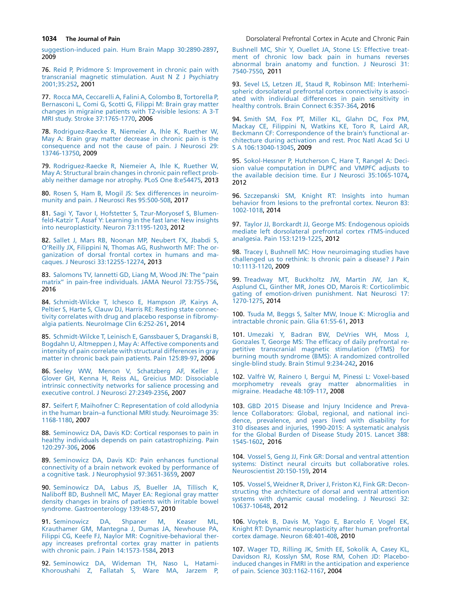[suggestion-induced pain. Hum Brain Mapp 30:2890-2897,](http://refhub.elsevier.com/S1526-5900(17)30531-X/sref75) 2009

76. [Reid P, Pridmore S: Improvement in chronic pain with](http://refhub.elsevier.com/S1526-5900(17)30531-X/sref76) [transcranial magnetic stimulation. Aust N Z J Psychiatry](http://refhub.elsevier.com/S1526-5900(17)30531-X/sref76) [2001;35:252,](http://refhub.elsevier.com/S1526-5900(17)30531-X/sref76) 2001

77. [Rocca MA, Ceccarelli A, Falini A, Colombo B, Tortorella P,](http://refhub.elsevier.com/S1526-5900(17)30531-X/sref77) [Bernasconi L, Comi G, Scotti G, Filippi M: Brain gray matter](http://refhub.elsevier.com/S1526-5900(17)30531-X/sref77) [changes in migraine patients with T2-visible lesions: A 3-T](http://refhub.elsevier.com/S1526-5900(17)30531-X/sref77) [MRI study. Stroke 37:1765-1770,](http://refhub.elsevier.com/S1526-5900(17)30531-X/sref77) 2006

78. [Rodriguez-Raecke R, Niemeier A, Ihle K, Ruether W,](http://refhub.elsevier.com/S1526-5900(17)30531-X/sref78) [May A: Brain gray matter decrease in chronic pain is the](http://refhub.elsevier.com/S1526-5900(17)30531-X/sref78) [consequence and not the cause of pain. J Neurosci 29:](http://refhub.elsevier.com/S1526-5900(17)30531-X/sref78) [13746-13750](http://refhub.elsevier.com/S1526-5900(17)30531-X/sref78), 2009

79. [Rodriguez-Raecke R, Niemeier A, Ihle K, Ruether W,](http://refhub.elsevier.com/S1526-5900(17)30531-X/sref79) [May A: Structural brain changes in chronic pain reflect prob](http://refhub.elsevier.com/S1526-5900(17)30531-X/sref79)[ably neither damage nor atrophy. PLoS One 8:e54475,](http://refhub.elsevier.com/S1526-5900(17)30531-X/sref79) 2013

80. [Rosen S, Ham B, Mogil JS: Sex differences in neuroim](http://refhub.elsevier.com/S1526-5900(17)30531-X/sref80)[munity and pain. J Neurosci Res 95:500-508,](http://refhub.elsevier.com/S1526-5900(17)30531-X/sref80) 2017

81. [Sagi Y, Tavor I, Hofstetter S, Tzur-Moryosef S, Blumen](http://refhub.elsevier.com/S1526-5900(17)30531-X/sref81)[feld-Katzir T, Assaf Y: Learning in the fast lane: New insights](http://refhub.elsevier.com/S1526-5900(17)30531-X/sref81) [into neuroplasticity. Neuron 73:1195-1203,](http://refhub.elsevier.com/S1526-5900(17)30531-X/sref81) 2012

82. [Sallet J, Mars RB, Noonan MP, Neubert FX, Jbabdi S,](http://refhub.elsevier.com/S1526-5900(17)30531-X/sref82) [O'Reilly JX, Filippini N, Thomas AG, Rushworth MF: The or](http://refhub.elsevier.com/S1526-5900(17)30531-X/sref82)[ganization of dorsal frontal cortex in humans and ma](http://refhub.elsevier.com/S1526-5900(17)30531-X/sref82)[caques. J Neurosci 33:12255-12274,](http://refhub.elsevier.com/S1526-5900(17)30531-X/sref82) 2013

83. Salomons TV, Iannetti GD, Liang M, Wood JN: The "pain [matrix'' in pain-free individuals. JAMA Neurol 73:755-756,](http://refhub.elsevier.com/S1526-5900(17)30531-X/sref83) 2016

84. [Schmidt-Wilcke T, Ichesco E, Hampson JP, Kairys A,](http://refhub.elsevier.com/S1526-5900(17)30531-X/sref84) [Peltier S, Harte S, Clauw DJ, Harris RE: Resting state connec](http://refhub.elsevier.com/S1526-5900(17)30531-X/sref84)[tivity correlates with drug and placebo response in fibromy](http://refhub.elsevier.com/S1526-5900(17)30531-X/sref84)[algia patients. NeuroImage Clin 6:252-261](http://refhub.elsevier.com/S1526-5900(17)30531-X/sref84), 2014

85. [Schmidt-Wilcke T, Leinisch E, Ganssbauer S, Draganski B,](http://refhub.elsevier.com/S1526-5900(17)30531-X/sref85) [Bogdahn U, Altmeppen J, May A: Affective components and](http://refhub.elsevier.com/S1526-5900(17)30531-X/sref85) [intensity of pain correlate with structural differences in gray](http://refhub.elsevier.com/S1526-5900(17)30531-X/sref85) [matter in chronic back pain patients. Pain 125:89-97,](http://refhub.elsevier.com/S1526-5900(17)30531-X/sref85) 2006

86. [Seeley WW, Menon V, Schatzberg AF, Keller J,](http://refhub.elsevier.com/S1526-5900(17)30531-X/sref86) [Glover GH, Kenna H, Reiss AL, Greicius MD: Dissociable](http://refhub.elsevier.com/S1526-5900(17)30531-X/sref86) [intrinsic connectivity networks for salience processing and](http://refhub.elsevier.com/S1526-5900(17)30531-X/sref86) [executive control. J Neurosci 27:2349-2356](http://refhub.elsevier.com/S1526-5900(17)30531-X/sref86), 2007

87. [Seifert F, Maihofner C: Representation of cold allodynia](http://refhub.elsevier.com/S1526-5900(17)30531-X/sref87) [in the human brain–a functional MRI study. Neuroimage 35:](http://refhub.elsevier.com/S1526-5900(17)30531-X/sref87) [1168-1180](http://refhub.elsevier.com/S1526-5900(17)30531-X/sref87), 2007

88. [Seminowicz DA, Davis KD: Cortical responses to pain in](http://refhub.elsevier.com/S1526-5900(17)30531-X/sref88) [healthy individuals depends on pain catastrophizing. Pain](http://refhub.elsevier.com/S1526-5900(17)30531-X/sref88) [120:297-306](http://refhub.elsevier.com/S1526-5900(17)30531-X/sref88), 2006

89. [Seminowicz DA, Davis KD: Pain enhances functional](http://refhub.elsevier.com/S1526-5900(17)30531-X/sref89) [connectivity of a brain network evoked by performance of](http://refhub.elsevier.com/S1526-5900(17)30531-X/sref89) [a cognitive task. J Neurophysiol 97:3651-3659,](http://refhub.elsevier.com/S1526-5900(17)30531-X/sref89) 2007

90. [Seminowicz DA, Labus JS, Bueller JA, Tillisch K,](http://refhub.elsevier.com/S1526-5900(17)30531-X/sref90) [Naliboff BD, Bushnell MC, Mayer EA: Regional gray matter](http://refhub.elsevier.com/S1526-5900(17)30531-X/sref90) [density changes in brains of patients with irritable bowel](http://refhub.elsevier.com/S1526-5900(17)30531-X/sref90) [syndrome. Gastroenterology 139:48-57,](http://refhub.elsevier.com/S1526-5900(17)30531-X/sref90) 2010

91. [Seminowicz DA, Shpaner M, Keaser ML,](http://refhub.elsevier.com/S1526-5900(17)30531-X/sref91) [Krauthamer GM, Mantegna J, Dumas JA, Newhouse PA,](http://refhub.elsevier.com/S1526-5900(17)30531-X/sref91) [Filippi CG, Keefe FJ, Naylor MR: Cognitive-behavioral ther](http://refhub.elsevier.com/S1526-5900(17)30531-X/sref91)[apy increases prefrontal cortex gray matter in patients](http://refhub.elsevier.com/S1526-5900(17)30531-X/sref91) [with chronic pain. J Pain 14:1573-1584,](http://refhub.elsevier.com/S1526-5900(17)30531-X/sref91) 2013

92. [Seminowicz DA, Wideman TH, Naso L, Hatami-](http://refhub.elsevier.com/S1526-5900(17)30531-X/sref92)[Khoroushahi Z, Fallatah S, Ware MA, Jarzem P,](http://refhub.elsevier.com/S1526-5900(17)30531-X/sref92)

<span id="page-7-0"></span>**1034 The Journal of Pain Downloam** Dorsolateral Prefrontal Cortex in Acute and Chronic Pain

[Bushnell MC, Shir Y, Ouellet JA, Stone LS: Effective treat](http://refhub.elsevier.com/S1526-5900(17)30531-X/sref92)[ment of chronic low back pain in humans reverses](http://refhub.elsevier.com/S1526-5900(17)30531-X/sref92) [abnormal brain anatomy and function. J Neurosci 31:](http://refhub.elsevier.com/S1526-5900(17)30531-X/sref92) [7540-7550](http://refhub.elsevier.com/S1526-5900(17)30531-X/sref92), 2011

93. [Sevel LS, Letzen JE, Staud R, Robinson ME: Interhemi](http://refhub.elsevier.com/S1526-5900(17)30531-X/sref93)[spheric dorsolateral prefrontal cortex connectivity is associ](http://refhub.elsevier.com/S1526-5900(17)30531-X/sref93)[ated with individual differences in pain sensitivity in](http://refhub.elsevier.com/S1526-5900(17)30531-X/sref93) [healthy controls. Brain Connect 6:357-364](http://refhub.elsevier.com/S1526-5900(17)30531-X/sref93), 2016

94. [Smith SM, Fox PT, Miller KL, Glahn DC, Fox PM,](http://refhub.elsevier.com/S1526-5900(17)30531-X/sref94) [Mackay CE, Filippini N, Watkins KE, Toro R, Laird AR,](http://refhub.elsevier.com/S1526-5900(17)30531-X/sref94) [Beckmann CF: Correspondence of the brain's functional ar](http://refhub.elsevier.com/S1526-5900(17)30531-X/sref94)[chitecture during activation and rest. Proc Natl Acad Sci U](http://refhub.elsevier.com/S1526-5900(17)30531-X/sref94) [S A 106:13040-13045](http://refhub.elsevier.com/S1526-5900(17)30531-X/sref94), 2009

95. [Sokol-Hessner P, Hutcherson C, Hare T, Rangel A: Deci](http://refhub.elsevier.com/S1526-5900(17)30531-X/sref95)[sion value computation in DLPFC and VMPFC adjusts to](http://refhub.elsevier.com/S1526-5900(17)30531-X/sref95) [the available decision time. Eur J Neurosci 35:1065-1074,](http://refhub.elsevier.com/S1526-5900(17)30531-X/sref95) 2012

96. [Szczepanski SM, Knight RT: Insights into human](http://refhub.elsevier.com/S1526-5900(17)30531-X/sref96) [behavior from lesions to the prefrontal cortex. Neuron 83:](http://refhub.elsevier.com/S1526-5900(17)30531-X/sref96) [1002-1018](http://refhub.elsevier.com/S1526-5900(17)30531-X/sref96), 2014

97. [Taylor JJ, Borckardt JJ, George MS: Endogenous opioids](http://refhub.elsevier.com/S1526-5900(17)30531-X/sref97) [mediate left dorsolateral prefrontal cortex rTMS-induced](http://refhub.elsevier.com/S1526-5900(17)30531-X/sref97) [analgesia. Pain 153:1219-1225,](http://refhub.elsevier.com/S1526-5900(17)30531-X/sref97) 2012

98. [Tracey I, Bushnell MC: How neuroimaging studies have](http://refhub.elsevier.com/S1526-5900(17)30531-X/sref98) [challenged us to rethink: Is chronic pain a disease? J Pain](http://refhub.elsevier.com/S1526-5900(17)30531-X/sref98) [10:1113-1120,](http://refhub.elsevier.com/S1526-5900(17)30531-X/sref98) 2009

99. [Treadway MT, Buckholtz JW, Martin JW, Jan K,](http://refhub.elsevier.com/S1526-5900(17)30531-X/sref99) [Asplund CL, Ginther MR, Jones OD, Marois R: Corticolimbic](http://refhub.elsevier.com/S1526-5900(17)30531-X/sref99) [gating of emotion-driven punishment. Nat Neurosci 17:](http://refhub.elsevier.com/S1526-5900(17)30531-X/sref99) [1270-1275](http://refhub.elsevier.com/S1526-5900(17)30531-X/sref99), 2014

100. [Tsuda M, Beggs S, Salter MW, Inoue K: Microglia and](http://refhub.elsevier.com/S1526-5900(17)30531-X/sref100) [intractable chronic pain. Glia 61:55-61,](http://refhub.elsevier.com/S1526-5900(17)30531-X/sref100) 2013

101. [Umezaki Y, Badran BW, DeVries WH, Moss J,](http://refhub.elsevier.com/S1526-5900(17)30531-X/sref101) [Gonzales T, George MS: The efficacy of daily prefrontal re](http://refhub.elsevier.com/S1526-5900(17)30531-X/sref101)[petitive transcranial magnetic stimulation \(rTMS\) for](http://refhub.elsevier.com/S1526-5900(17)30531-X/sref101) [burning mouth syndrome \(BMS\): A randomized controlled](http://refhub.elsevier.com/S1526-5900(17)30531-X/sref101) [single-blind study. Brain Stimul 9:234-242](http://refhub.elsevier.com/S1526-5900(17)30531-X/sref101), 2016

102. [Valfr](http://refhub.elsevier.com/S1526-5900(17)30531-X/sref102)è [W, Rainero I, Bergui M, Pinessi L: Voxel-based](http://refhub.elsevier.com/S1526-5900(17)30531-X/sref102) [morphometry reveals gray matter abnormalities in](http://refhub.elsevier.com/S1526-5900(17)30531-X/sref102) [migraine. Headache 48:109-117](http://refhub.elsevier.com/S1526-5900(17)30531-X/sref102), 2008

103. [GBD 2015 Disease and Injury Incidence and Preva](http://refhub.elsevier.com/S1526-5900(17)30531-X/sref103)[lence Collaborators: Global, regional, and national inci](http://refhub.elsevier.com/S1526-5900(17)30531-X/sref103)[dence, prevalence, and years lived with disability for](http://refhub.elsevier.com/S1526-5900(17)30531-X/sref103) [310 diseases and injuries, 1990-2015: A systematic analysis](http://refhub.elsevier.com/S1526-5900(17)30531-X/sref103) [for the Global Burden of Disease Study 2015. Lancet 388:](http://refhub.elsevier.com/S1526-5900(17)30531-X/sref103) [1545-1602](http://refhub.elsevier.com/S1526-5900(17)30531-X/sref103), 2016

104. [Vossel S, Geng JJ, Fink GR: Dorsal and ventral attention](http://refhub.elsevier.com/S1526-5900(17)30531-X/sref104) [systems: Distinct neural circuits but collaborative roles.](http://refhub.elsevier.com/S1526-5900(17)30531-X/sref104) [Neuroscientist 20:150-159,](http://refhub.elsevier.com/S1526-5900(17)30531-X/sref104) 2014

105. [Vossel S, Weidner R, Driver J, Friston KJ, Fink GR: Decon](http://refhub.elsevier.com/S1526-5900(17)30531-X/sref105)[structing the architecture of dorsal and ventral attention](http://refhub.elsevier.com/S1526-5900(17)30531-X/sref105) [systems with dynamic causal modeling. J Neurosci 32:](http://refhub.elsevier.com/S1526-5900(17)30531-X/sref105) [10637-10648,](http://refhub.elsevier.com/S1526-5900(17)30531-X/sref105) 2012

106. [Voytek B, Davis M, Yago E, Barcelo F, Vogel EK,](http://refhub.elsevier.com/S1526-5900(17)30531-X/sref106) [Knight RT: Dynamic neuroplasticity after human prefrontal](http://refhub.elsevier.com/S1526-5900(17)30531-X/sref106) [cortex damage. Neuron 68:401-408](http://refhub.elsevier.com/S1526-5900(17)30531-X/sref106), 2010

107. [Wager TD, Rilling JK, Smith EE, Sokolik A, Casey KL,](http://refhub.elsevier.com/S1526-5900(17)30531-X/sref107) [Davidson RJ, Kosslyn SM, Rose RM, Cohen JD: Placebo](http://refhub.elsevier.com/S1526-5900(17)30531-X/sref107)[induced changes in FMRI in the anticipation and experience](http://refhub.elsevier.com/S1526-5900(17)30531-X/sref107) [of pain. Science 303:1162-1167,](http://refhub.elsevier.com/S1526-5900(17)30531-X/sref107) 2004